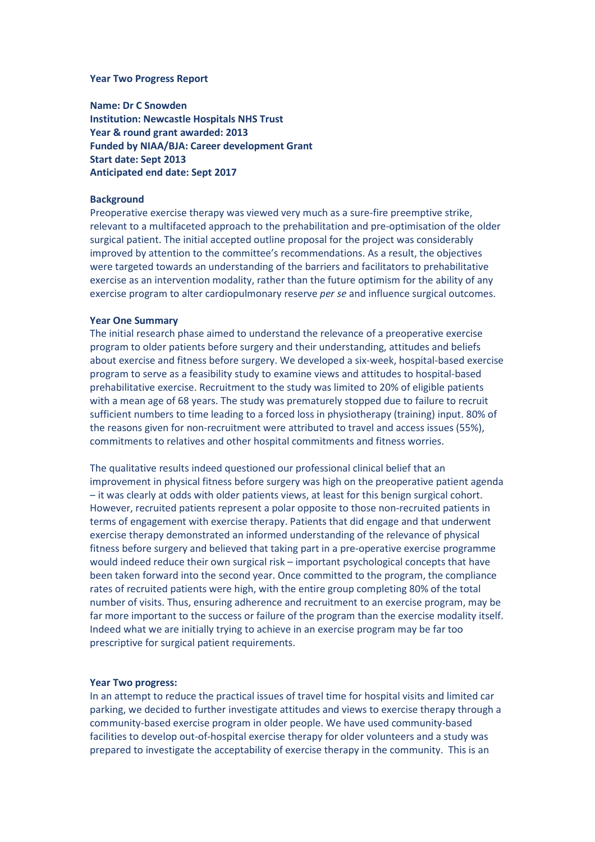#### **Year Two Progress Report**

**Name: Dr C Snowden Institution: Newcastle Hospitals NHS Trust Year & round grant awarded: 2013 Funded by NIAA/BJA: Career development Grant Start date: Sept 2013 Anticipated end date: Sept 2017**

### **Background**

Preoperative exercise therapy was viewed very much as a sure-fire preemptive strike, relevant to a multifaceted approach to the prehabilitation and pre-optimisation of the older surgical patient. The initial accepted outline proposal for the project was considerably improved by attention to the committee's recommendations. As a result, the objectives were targeted towards an understanding of the barriers and facilitators to prehabilitative exercise as an intervention modality, rather than the future optimism for the ability of any exercise program to alter cardiopulmonary reserve *per se* and influence surgical outcomes.

#### **Year One Summary**

The initial research phase aimed to understand the relevance of a preoperative exercise program to older patients before surgery and their understanding, attitudes and beliefs about exercise and fitness before surgery. We developed a six-week, hospital-based exercise program to serve as a feasibility study to examine views and attitudes to hospital-based prehabilitative exercise. Recruitment to the study was limited to 20% of eligible patients with a mean age of 68 years. The study was prematurely stopped due to failure to recruit sufficient numbers to time leading to a forced loss in physiotherapy (training) input. 80% of the reasons given for non-recruitment were attributed to travel and access issues (55%), commitments to relatives and other hospital commitments and fitness worries.

The qualitative results indeed questioned our professional clinical belief that an improvement in physical fitness before surgery was high on the preoperative patient agenda – it was clearly at odds with older patients views, at least for this benign surgical cohort. However, recruited patients represent a polar opposite to those non-recruited patients in terms of engagement with exercise therapy. Patients that did engage and that underwent exercise therapy demonstrated an informed understanding of the relevance of physical fitness before surgery and believed that taking part in a pre-operative exercise programme would indeed reduce their own surgical risk – important psychological concepts that have been taken forward into the second year. Once committed to the program, the compliance rates of recruited patients were high, with the entire group completing 80% of the total number of visits. Thus, ensuring adherence and recruitment to an exercise program, may be far more important to the success or failure of the program than the exercise modality itself. Indeed what we are initially trying to achieve in an exercise program may be far too prescriptive for surgical patient requirements.

# **Year Two progress:**

In an attempt to reduce the practical issues of travel time for hospital visits and limited car parking, we decided to further investigate attitudes and views to exercise therapy through a community-based exercise program in older people. We have used community-based facilities to develop out-of-hospital exercise therapy for older volunteers and a study was prepared to investigate the acceptability of exercise therapy in the community. This is an